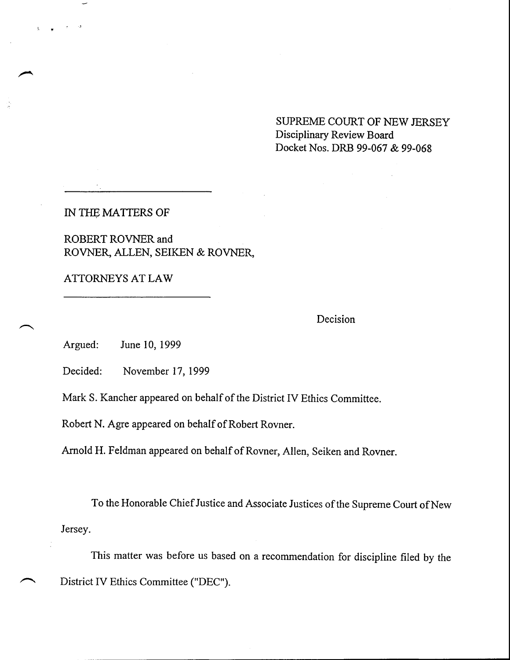SUPREME COURT OF NEW JERSEY Disciplinary Review Board Docket Nos. DRB 99-067 & 99-068

IN THE MATTERS OF

ROBERT ROVNER and ROVNER, ALLEN, SEIKEN & ROVNER,

ATTORNEYS AT LAW

**Decision**

Argued: **June 10, 1999**

Decided: November 17, 1999

Mark S. Kancher appeared on behalf of the District IV Ethics Committee.

Robert N. Agre appeared on behalf of Robert Rovner.

Arnold H. Feldman appeared on behalf of Rovner, Allen, Seiken and Rovner.

To the Honorable Chief Justice and Associate Justices of the Supreme Court of New Jersey.

This matter was before us based on a recommendation for discipline filed by the District IV Ethics Committee ("DEC").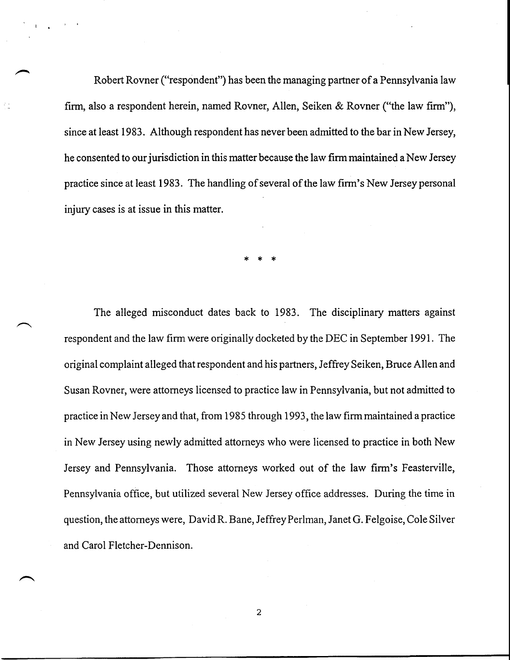Robert Rovner ("respondent") has been the managing partner of a Pennsylvania law firm, also a respondent herein, named Rovner, Allen, Seiken & Rovner ("the law firm"), since at least 1983. Although respondent has never been admitted to the bar in New Jersey, he consented to our jurisdiction in this matter because the law firm maintained a New Jersey practice since at least 1983. The handling of several of the law firm's New Jersey personal injury cases is at issue in this matter.

The alleged misconduct dates back to 1983. The disciplinary matters against respondent and the law firm were originally docketed by the DEC in September 1991. The original complaint alleged that respondent and his partners, Jeffrey Seiken, Bruce Allen and Susan Rovner, were attorneys licensed to practice law in Pennsylvania, but not admitted to practice in New Jersey and that, from 1985 through 1993, the law firm maintained a practice in New Jersey using newly admitted attorneys who were licensed to practice in both New Jersey and Pennsylvania. Those attorneys worked out of the law firm's Feasterville, Pennsylvania office, but utilized several New Jersey office addresses. During the time in question, the attorneys were, David R. Bane, Jeffrey Perlman, Janet G. Felgoise, Cole Silver and Carol Fletcher-Dennison.

 $\overline{c}$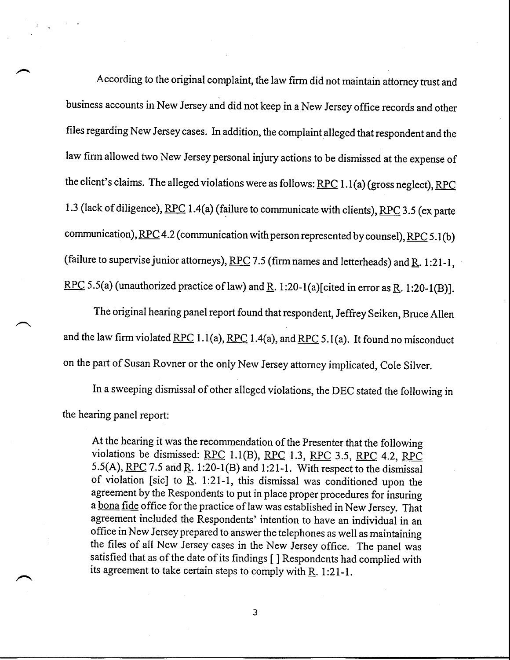According to the original complaint, the law firm did not maintain attorney trust and business accounts in New Jersey and did not keep in a New Jersey office records and other files regarding New Jersey cases. In addition, the complaint alleged that respondent and the law firm allowed two New Jersey personal injury actions to be dismissed at the expense of the client's claims. The alleged violations were as follows:  $RPC 1.1(a)$  (gross neglect),  $RPC$ 1.3 (lack of diligence), RPC 1.4(a) (failure to communicate with clients), RPC 3.5 (ex parte communication),  $RPC 4.2$  (communication with person represented by counsel),  $RPC 5.1$  (b) (failure to supervise junior attorneys), RPC 7.5 (firm names and letterheads) and R. 1:21-1, RPC 5.5(a) (unauthorized practice of law) and R. 1:20-1(a)[cited in error as R. 1:20-1(B)].

The original hearing panel report found that respondent, Jeffrey Seiken, Bruce Allen and the law firm violated RPC 1.1(a), RPC 1.4(a), and RPC 5.1(a). It found no misconduct on the part of Susan Rovner or the only New Jersey attorney implicated, Cole Silver.

In a sweeping dismissal of other alleged violations, the DEC stated the following in the hearing panel report:

At the hearing it was the recommendation of the Presenter that the following violations be dismissed: RPC\_ 1.1(B), RPC 1.3, RPC 3.5, RPC 4.2, RPC 5.5(A), RPC 7.5 and R. 1:20-1(B) and 1:21-1. With respect to the dismissal of violation [sic] to  $R. 1:21-1$ , this dismissal was conditioned upon the agreement by the Respondents to put in place proper procedures for insuring a bona fide office for the practice of law was established in New Jersey. That agreement included the Respondents' intention to have an individual in an office in New Jersey prepared to answer the telephones as well as maintaining the files of all New Jersey cases in the New Jersey office. The panel was satisfied that as of the date of its findings [ ] Respondents had complied with its agreement to take certain steps to comply with  $R$ . 1:21-1.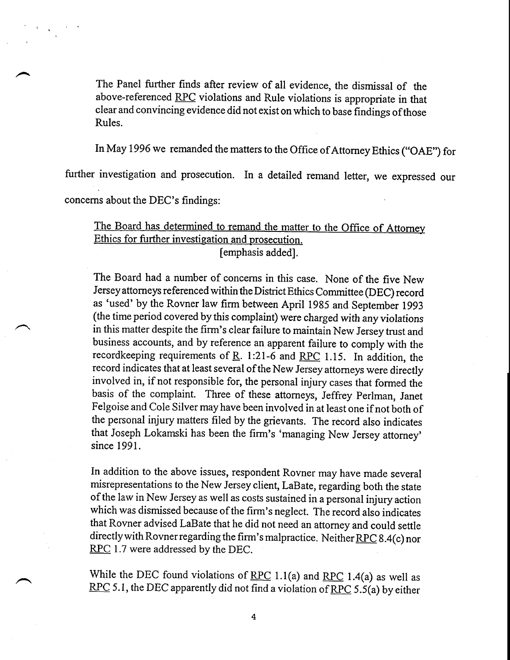The Panel further finds after review of all evidence, the dismissal of the above-referenced RPC violations and Rule violations is appropriate in that clear and convincing evidence did not exist on which to base findings of those Rules.

In May 1996 we remanded the matters to the Office of Attorney Ethics ("OAE") for

further investigation and prosecution. In a detailed remand letter, we expressed our

concerns about the DEC's findings:

### The Board has determined to remand the matter to the Office of Attorney Ethics for further investigation and prosecution. [emphasis added].

The Board had a number of concerns in this case. None of the five New Jersey attorneys referenced within the District Ethics Committee (DEC) record as 'used' by the Rovner law firm between April 1985 and September 1993 (the time period covered by this complaint) were charged with any violations in this matter despite the firm's clear failure to maintain New Jersey trust and business accounts, and by reference an apparent failure to comply with the recordkeeping requirements of R. 1:21-6 and RPC 1.15. In addition, the record indicates that at least several of the New Jersey attorneys were directly involved in, if not responsible for, the personal injury cases that formed the basis of the complaint. Three of these attorneys, Jeffrey Perlman, Janet Felgoise and Cole Silver may have been involved in at least one if not both of the personal injury matters filed by the grievants. The record also indicates that Joseph Lokamski has been the firm's 'managing New Jersey attorney' since 1991.

In addition to the above issues, respondent Rovner may have made several misrepresentations to the New Jersey client, LaBate, regarding both the state of the law in New Jersey as well as costs sustained in a personal injury action which was dismissed because of the firm's neglect. The record also indicates that Rovner advised LaBate that he did not need an attorney and could settle directly with Rovner regarding the firm's malpractice. Neither RPC 8.4(c) nor RPC 1.7 were addressed by the DEC.

While the DEC found violations of RPC 1.1(a) and RPC 1.4(a) as well as RPC 5.1, the DEC apparently did not find a violation of RPC 5.5(a) by either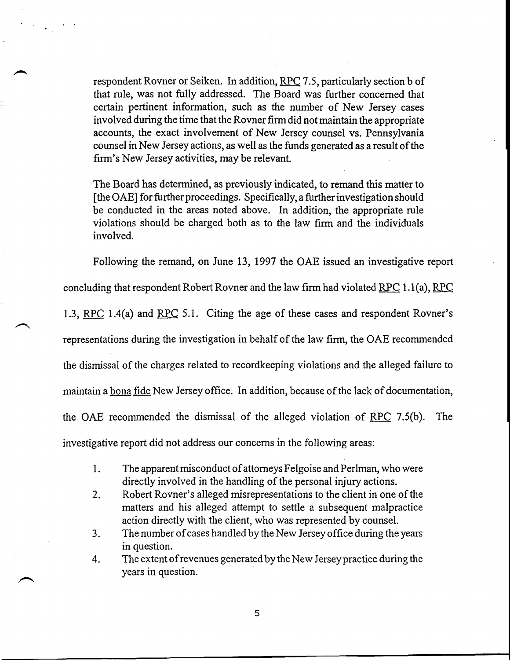respondent Rovner or Seiken. In addition, RPC 7.5, particularly section b of that rule, was not fully addressed. The Board was further concemed that certain pertinent information, such as the number of New Jersey cases involved during the time that the Rovner firm did not maintain the appropriate accounts, the exact involvement of New Jersey counsel vs. Pennsylvania counsel in New Jersey actions, as well as the funds generated as a result of the firm's New Jersey activities, may be relevant.

The Board has determined, as previously indicated, to remand this matter to  $[the OAE]$  for further proceedings. Specifically, a further investigation should be conducted in the areas noted above. In addition, the appropriate rule violations should be charged both as to the law firm and the individuals involved.

Following the remand, on June 13, 1997 the OAE issued an investigative report

concluding that respondent Robert Rovner and the law firm had violated  $RPC 1.1(a)$ , RPC

1.3, RPC 1.4(a) and RPC 5.1. Citing the age of these cases and respondent Rovner's

representations during the investigation in behalf of the law firm, the OAE recommended

the dismissal of the charges related to recordkeeping violations and the alleged failure to

maintain a bona fide New Jersey office. In addition, because of the lack of documentation,

the OAE recommended the dismissal of the alleged violation of  $RPC$  7.5(b). The

investigative report did not address our concerns in the following areas:

- 1. The apparent misconduct of attorneys Felgoise and Perlman, who were directly involved in the handling of the personal injury actions.
- Robert Rovner's alleged misrepresentations to the client in one of the  $2.$ matters and his alleged attempt to settle a subsequent malpractice action directly with the client, who was represented by counsel.
- The number of cases handled by the New Jersey office during the years 3. in question.
- 4. The extent of revenues generated by the New Jersey practice during the years in question.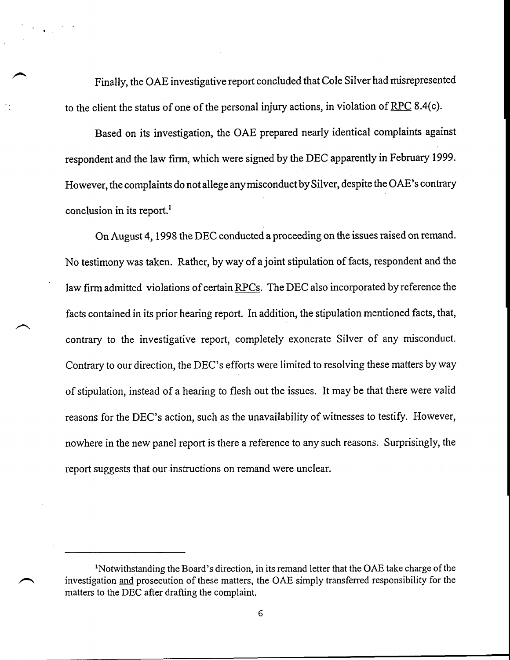Finally, the OAE investigative report concluded that Cole Silver had misrepresented to the client the status of one of the personal injury actions, in violation of  $RPC 8.4(c)$ .

Based on its investigation, the OAE prepared nearly identical complaints against respondent and the law firm, which were signed by the DEC apparently in February 1999. However, the complaints do not allege anymisconduct by Silver, despite the OAE's contrary conclusion in its report.<sup>1</sup>

On August 4, 1998 the DEC conducted a proceeding on the issues raised on remand. No testimony was taken. Rather, by way of a joint stipulation of facts, respondent and the law firm admitted violations of certain RPCs. The DEC also incorporated by reference the facts contained in its prior hearing report. In addition, the stipulation mentioned facts, that, contrary to the investigative report, completely exonerate Silver of any misconduct. Contrary to our direction, the DEC's efforts were limited to resolving these matters by way of stipulation, instead of a hearing to flesh out the issues. It may be that there were valid reasons for the DEC's action, such as the unavailability of witnesses to testify. However, nowhere in the new panel report is there a reference to any such reasons. Surprisingly, the report suggests that our instructions on remand were unclear.

<sup>&</sup>lt;sup>1</sup>Notwithstanding the Board's direction, in its remand letter that the OAE take charge of the investigation and prosecution of these matters, the OAE simply transferred responsibility for the matters to the DEC after drafting the complaint.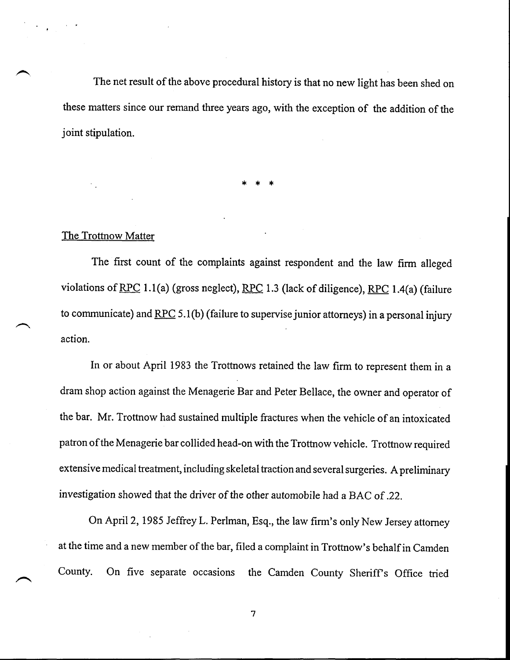The net result of the above procedural history is that no new light has been shed on these matters since our remand three years ago, with the exception of the addition of the joint stipulation.

#### The Trottnow Matter

The first count of the complaints against respondent and the law firm alleged violations of RPC 1.1 (a) (gross neglect), RPC 1.3 (lack of diligence), RPC 1.4(a) (failure to communicate) and  $RPC 5.1(b)$  (failure to supervise junior attorneys) in a personal injury action.

In or about April 1983 the Trottnows retained the law firm to represent them in a dram shop action against the Menagerie Bar and Peter Bellace, the owner and operator of the bar. Mr. Trottnow had sustained multiple fractures when the vehicle of an intoxicated patron of the Menagerie bar collided head-on with the Trottnow vehicle. Trottnow required extensive medical treatment, including skeletal traction and several surgeries. A preliminary investigation showed that the driver of the other automobile had a BAC of.22.

On April 2, 1985 Jeffrey L. Perlman, Esq., the law finn's only New Jersey attorney at the time and a new member of the bar, filed a complaint in Trottnow's behalf in Camden County. On five separate occasions the Camden County Sheriff's Office tried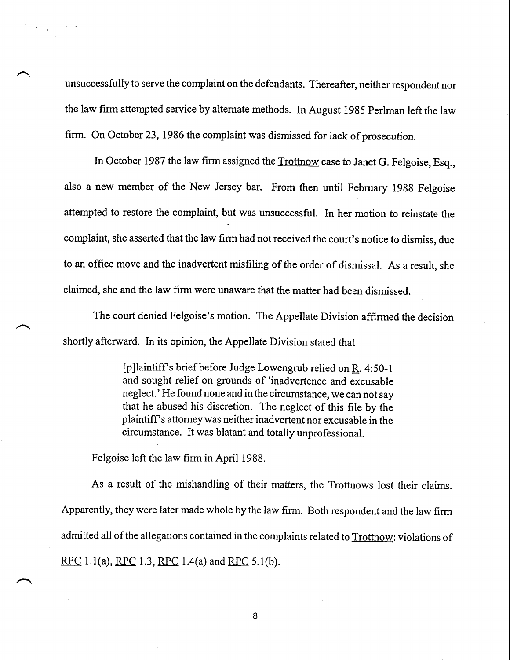unsuccessfully to serve the complaint on the defendants. Thereafter, neither respondent nor the law firm attempted service by alternate methods. In August 1985 Perlman left the law firm. On October 23, 1986 the complaint was dismissed for lack of prosecution.

In October 1987 the law firm assigned the Trottnow case to Janet G. Felgoise, Esq., also a new member of the New Jersey bar. From then until February 1988 Felgoise attempted to restore the complaint, but was unsuccessful. In her motion to reinstate the complaint, she asserted that the law finn had not received the court's notice to dismiss, due to an office move and the inadvertent misfiling of the order of dismissal. As a result, she claimed, she and the law firm were unaware that the matter had been dismissed.

The court denied Felgoise's motion. The Appellate Division affirmed the decision shortly afterward. In its opinion, the Appellate Division stated that

> [p]laintiff's brief before Judge Lowengrub relied on R. 4:50-1 and sought relief on grounds of 'inadvertence and excusable neglect.' He found none and in the circumstance, we can not say that he abused his discretion. The neglect of this file by the plaintiff's attorney was neither inadvertent nor excusable in the circumstance. It was blatant and totally unprofessional.

Felgoise left the law firm in April 1988.

As a result of the mishandling of their matters, the Trottnows lost their claims. Apparently, they were later made whole by the law firm. Both respondent and the law firm admitted all of the allegations contained in the complaints related to Trottnow: violations of RPC 1.1(a), RPC 1.3, RPC 1.4(a) and RPC 5.1(b).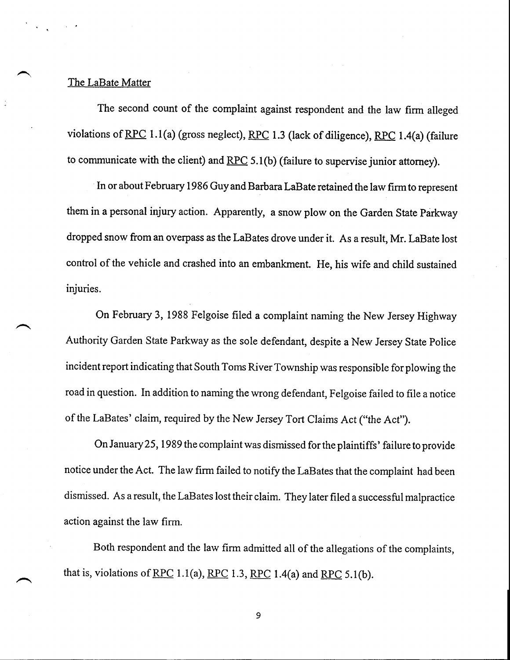#### The LaBate Matter

The second count of the complaint against respondent and the law firm alleged violations of RPC 1.1(a) (gross neglect), RPC 1.3 (lack of diligence), RPC 1.4(a) (failure to communicate with the client) and RPC 5.1(b) (failure to supervise junior attorney).

In or about February 1986 Guy and Barbara LaBate retained the law firm to represent them in a personal injury action. Apparently, a snow plow on the Garden State Parkway dropped snow from an overpass as the LaBates drove under it. As a result, Mr. LaBate lost control of the vehicle and crashed into an embankment. He, his wife and child sustained injuries.

On February 3, 1988 Felgoise filed a complaint naming the New Jersey Highway Authority Garden State Parkway as the sole defendant, despite a New Jersey State Police incident report indicating that South Toms River Township was responsible for plowing the road in question. In addition to naming the wrong defendant, Felgoise failed to file a notice of the LaBates' claim, required by the New Jersey Tort Claims Act ("the Act").

On January 25, 1989 the complaint was dismissed for the plaintiffs' failure to provide notice under the Act. The law firm failed to notify the LaBates that the complaint had been dismissed. As a result, the LaBates lost their claim. They later filed a successful malpractice action against the law firm.

Both respondent and the law firm admitted all of the allegations of the complaints, that is, violations of RPC 1.1(a), RPC 1.3, RPC 1.4(a) and RPC 5.1(b).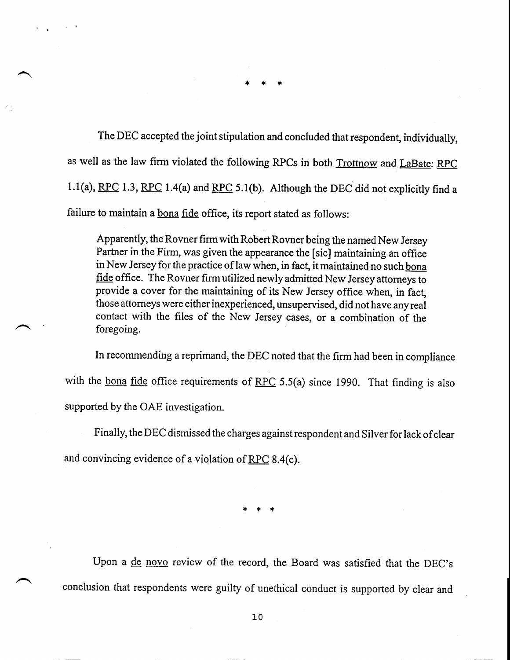The DEC accepted the joint stipulation and concluded that respondent, individually, as well as the law firm violated the following RPCs in both Trottnow and LaBate: RPC 1.1(a), RPC 1.3, RPC 1.4(a) and RPC 5.1(b). Although the DEC did not explicitly find a failure to maintain a bona fide office, its report stated as follows:

Apparently, the Rovner firm with Robert Rovner being the named New Jersey Partner in the Firm, was given the appearance the [sic] maintaining an office in New Jersey for the practice of law when, in fact, it maintained no such bona fide office. The Rovner firm utilized newly admitted New Jersey attorneys to provide a cover for the maintaining of its New Jersey office when, in fact, those attorneys were either inexperienced, unsupervised, did not have any real contact with the files of the New Jersey cases, or a combination of the foregoing.

In recommending a reprimand, the DEC noted that the firm had been in compliance with the bona fide office requirements of RPC 5.5(a) since 1990. That finding is also supported by the OAE investigation.

Finally, the DEC dismissed the charges against respondent and Silver for lack of clear and convincing evidence of a violation of RPC 8.4(c).

Upon a de novo review of the record, the Board was satisfied that the DEC's conclusion that respondents were guilty of unethical conduct is supported by clear and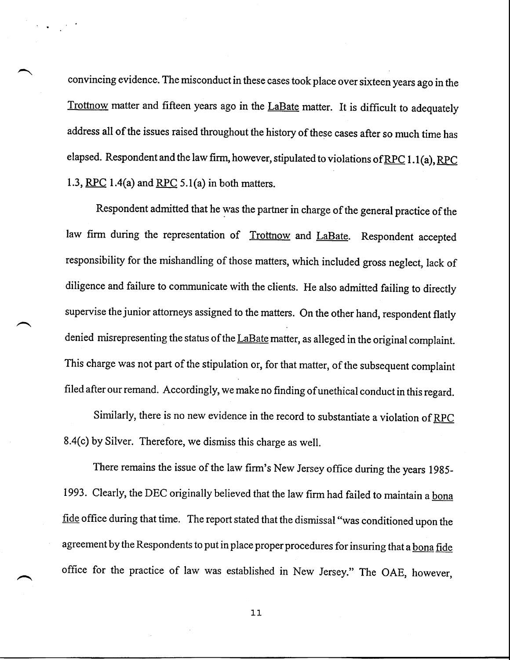convincing evidence. The misconduct in these cases took place over sixteen years ago in the Trottnow matter and fifteen years ago in the LaBate matter. It is difficult to adequately address all of the issues raised throughout the history of these cases after so much time has elapsed. Respondent and the law firm, however, stipulated to violations of RPC 1.1(a), RPC 1.3, RPC 1.4(a) and RPC 5.1(a) in both matters.

Respondent admitted that he was the partner in charge of the general practice of the law firm during the representation of Trottnow and LaBate. Respondent accepted responsibility for the mishandling of those matters, which included gross neglect, lack of diligence and failure to communicate with the clients. He also admitted failing to directly supervise the junior attorneys assigned to the matters. On the other hand, respondent flatly denied misrepresenting the status of the LaBate matter, as alleged in the original complaint. This charge was not part of the stipulation or, for that matter, of the subsequent complaint filed after our remand. Accordingly, we make no finding of unethical conduct in this regard.

Similarly, there is no new evidence in the record to substantiate a violation of RPC 8.4(c) by Silver. Therefore, we dismiss this charge as well.

There remains the issue of the law firm's New Jersey office during the years 1985- 1993. Clearly, the DEC originally believed that the law firm had failed to maintain a bona fide office during that time. The report stated that the dismissal "was conditioned upon the agreement by the Respondents to put in place proper procedures for insuring that a bona fide office for the practice of law was established in New Jersey." The OAE, however,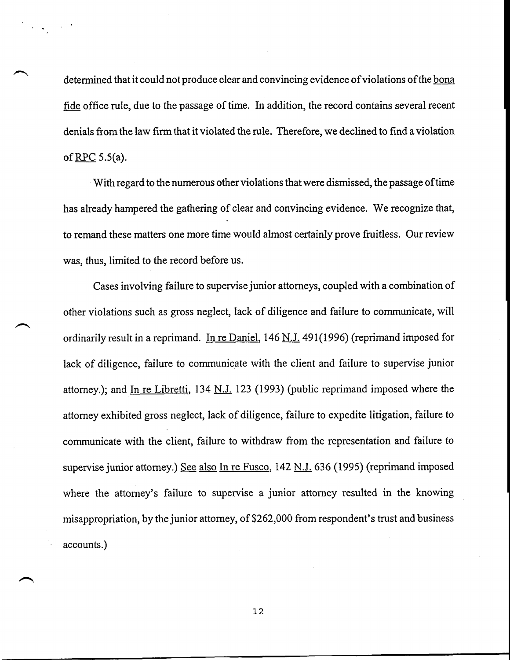determined that it could not produce clear and convincing evidence of violations of the bona fide office rule, due to the passage of time. In addition, the record contains several recent denials from the law firm that it violated the rule. Therefore, we declined to find a violation of  $RPC$  5.5(a).

. With regard to the numerous other violations that were dismissed, the passage of time has already hampered the gathering of clear and convincing evidence. We recognize that, to remand these matters one more time would almost certainly prove fruitless. Our review was, thus, limited to the record before us.

Cases involving failure to supervise junior attorneys, coupled with a combination of other violations such as gross neglect, lack of diligence and failure to communicate, will ordinarily result in a reprimand. In re Daniel,  $146$  N.J. 491(1996) (reprimand imposed for lack of diligence, failure to communicate with the client and failure to supervise junior attorney.); and In re Libretti, 134 N.J. 123 (1993) (public reprimand imposed where the attorney exhibited gross neglect, lack of diligence, failure to expedite litigation, failure to communicate with the client, failure to withdraw from the representation and failure to supervise junior attorney.) See also In re Fusco, 142 N.J. 636 (1995) (reprimand imposed where the attorney's failure to supervise a junior attorney resulted in the knowing misappropriation, by the junior attorney, of \$262,000 from respondent's trust and business accounts.)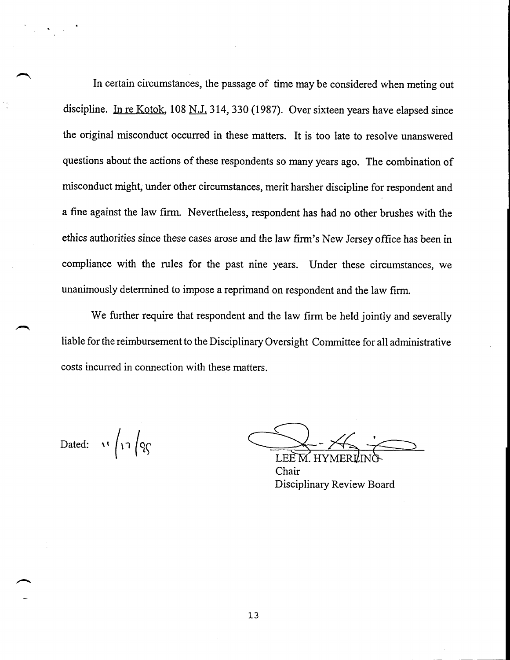In certain circumstances, the passage of time may be considered when meting out discipline. In re Kotok, 108 N.J. 314, 330 (1987). Over sixteen years have elapsed since the original misconduct occurred in these matters. It is too late to resolve unanswered questions about the actions of these respondents so many years ago. The combination of misconduct might, under other circumstances, merit harsher discipline for respondent and a fine against the law firm. Nevertheless, respondent has had no other brushes with the ethics authorities since these cases arose and the law firm's New Jersey office has been in compliance with the rules for the past nine years. Under these circumstances, we unanimously determined to impose a reprimand on respondent and the law firm.

We further require that respondent and the law firm be held jointly and severally liable for the reimbursement to the Disciplinary Oversight Committee for all administrative costs incurred in connection with these matters.

Dated:  $\sqrt{17}$   $\sqrt{9}$ 

Chair Disciplinary Review Board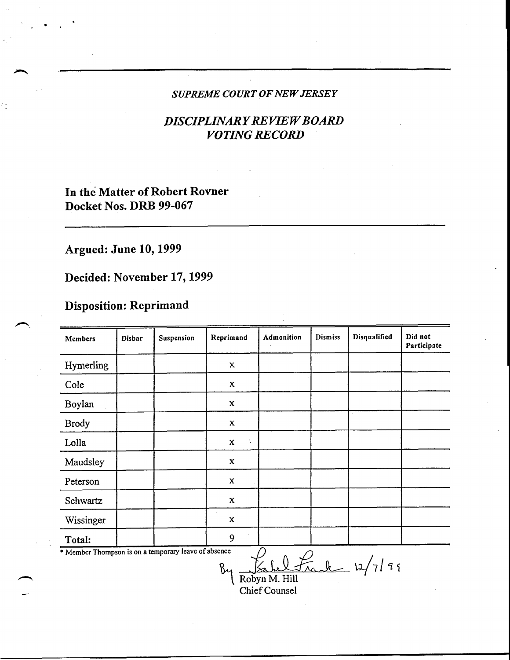#### *SUPREME COURT OF NEW JERSEY*

## **DISCIPLINARY REVIEW BOARD** *VOTING RECORD*

## In the Matter of Robert Rovner Docket Nos. DRB **99-067**

# **Argued: June 10, 1999**

# **Decided: November 17, 1999**

## **Disposition: Reprimand**

| Members                                              | Disbar | Suspension | Reprimand         | Admonition | Dismiss | Disqualified | Did not<br>Participate |
|------------------------------------------------------|--------|------------|-------------------|------------|---------|--------------|------------------------|
| Hymerling                                            |        |            | X                 |            |         |              |                        |
| Cole                                                 |        |            | $\mathbf x$       |            |         |              |                        |
| Boylan                                               |        |            | $\mathbf x$       |            |         |              |                        |
| <b>Brody</b>                                         |        |            | $\mathbf x$       |            |         |              |                        |
| Lolla                                                |        |            | $\mathbf x$<br>t, |            |         |              |                        |
| Maudsley                                             |        |            | $\mathbf x$       |            |         |              |                        |
| Peterson                                             |        |            | $\mathbf x$       |            |         |              |                        |
| Schwartz                                             |        |            | X                 |            |         |              |                        |
| Wissinger                                            |        |            | $\mathbf x$       |            |         |              |                        |
| Total:                                               |        |            | 9                 |            |         |              |                        |
| * Member Thompson is on a temporary leave of absence |        |            |                   |            |         | $\cdot$      |                        |

Fahel Frank 12/7/99

Chief Counsel